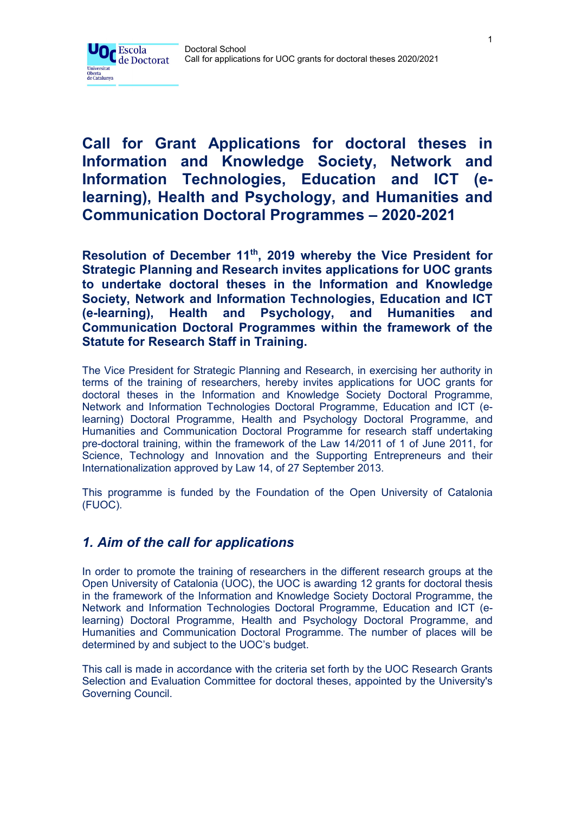

# **Call for Grant Applications for doctoral theses in Information and Knowledge Society, Network and Information Technologies, Education and ICT (elearning), Health and Psychology, and Humanities and Communication Doctoral Programmes – 2020-2021**

**Resolution of December 11th, 2019 whereby the Vice President for Strategic Planning and Research invites applications for UOC grants to undertake doctoral theses in the Information and Knowledge Society, Network and Information Technologies, Education and ICT (e-learning), Health and Psychology, and Humanities and Communication Doctoral Programmes within the framework of the Statute for Research Staff in Training.** 

The Vice President for Strategic Planning and Research, in exercising her authority in terms of the training of researchers, hereby invites applications for UOC grants for doctoral theses in the Information and Knowledge Society Doctoral Programme, Network and Information Technologies Doctoral Programme, Education and ICT (elearning) Doctoral Programme, Health and Psychology Doctoral Programme, and Humanities and Communication Doctoral Programme for research staff undertaking pre-doctoral training, within the framework of the Law 14/2011 of 1 of June 2011, for Science, Technology and Innovation and the Supporting Entrepreneurs and their Internationalization approved by Law 14, of 27 September 2013.

This programme is funded by the Foundation of the Open University of Catalonia (FUOC).

## *1. Aim of the call for applications*

In order to promote the training of researchers in the different research groups at the Open University of Catalonia (UOC), the UOC is awarding 12 grants for doctoral thesis in the framework of the Information and Knowledge Society Doctoral Programme, the Network and Information Technologies Doctoral Programme, Education and ICT (elearning) Doctoral Programme, Health and Psychology Doctoral Programme, and Humanities and Communication Doctoral Programme. The number of places will be determined by and subject to the UOC's budget.

This call is made in accordance with the criteria set forth by the UOC Research Grants Selection and Evaluation Committee for doctoral theses, appointed by the University's Governing Council.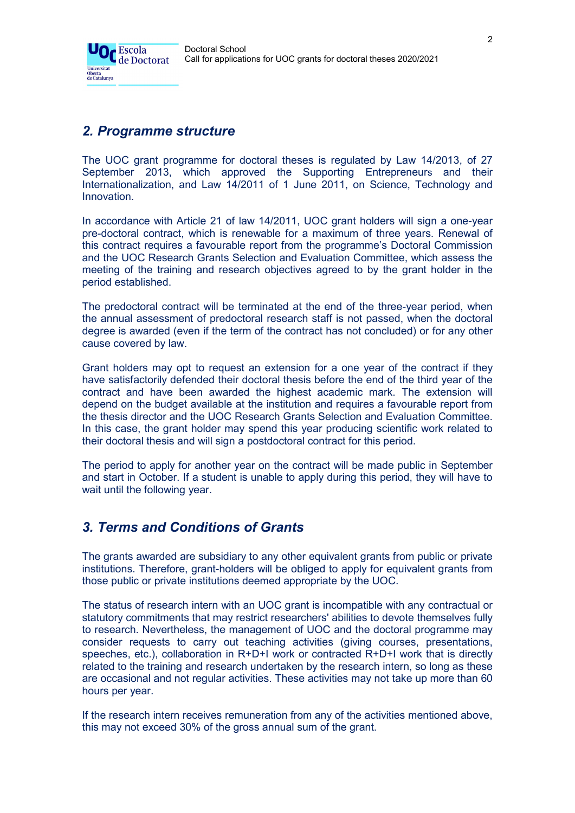

## *2. Programme structure*

The UOC grant programme for doctoral theses is regulated by Law 14/2013, of 27 September 2013, which approved the Supporting Entrepreneurs and their Internationalization, and Law 14/2011 of 1 June 2011, on Science, Technology and Innovation.

In accordance with Article 21 of law 14/2011, UOC grant holders will sign a one-year pre-doctoral contract, which is renewable for a maximum of three years. Renewal of this contract requires a favourable report from the programme's Doctoral Commission and the UOC Research Grants Selection and Evaluation Committee, which assess the meeting of the training and research objectives agreed to by the grant holder in the period established.

The predoctoral contract will be terminated at the end of the three-year period, when the annual assessment of predoctoral research staff is not passed, when the doctoral degree is awarded (even if the term of the contract has not concluded) or for any other cause covered by law.

Grant holders may opt to request an extension for a one year of the contract if they have satisfactorily defended their doctoral thesis before the end of the third year of the contract and have been awarded the highest academic mark. The extension will depend on the budget available at the institution and requires a favourable report from the thesis director and the UOC Research Grants Selection and Evaluation Committee. In this case, the grant holder may spend this year producing scientific work related to their doctoral thesis and will sign a postdoctoral contract for this period.

The period to apply for another year on the contract will be made public in September and start in October. If a student is unable to apply during this period, they will have to wait until the following year.

## *3. Terms and Conditions of Grants*

The grants awarded are subsidiary to any other equivalent grants from public or private institutions. Therefore, grant-holders will be obliged to apply for equivalent grants from those public or private institutions deemed appropriate by the UOC.

The status of research intern with an UOC grant is incompatible with any contractual or statutory commitments that may restrict researchers' abilities to devote themselves fully to research. Nevertheless, the management of UOC and the doctoral programme may consider requests to carry out teaching activities (giving courses, presentations, speeches, etc.), collaboration in R+D+I work or contracted R+D+I work that is directly related to the training and research undertaken by the research intern, so long as these are occasional and not regular activities. These activities may not take up more than 60 hours per year.

If the research intern receives remuneration from any of the activities mentioned above, this may not exceed 30% of the gross annual sum of the grant.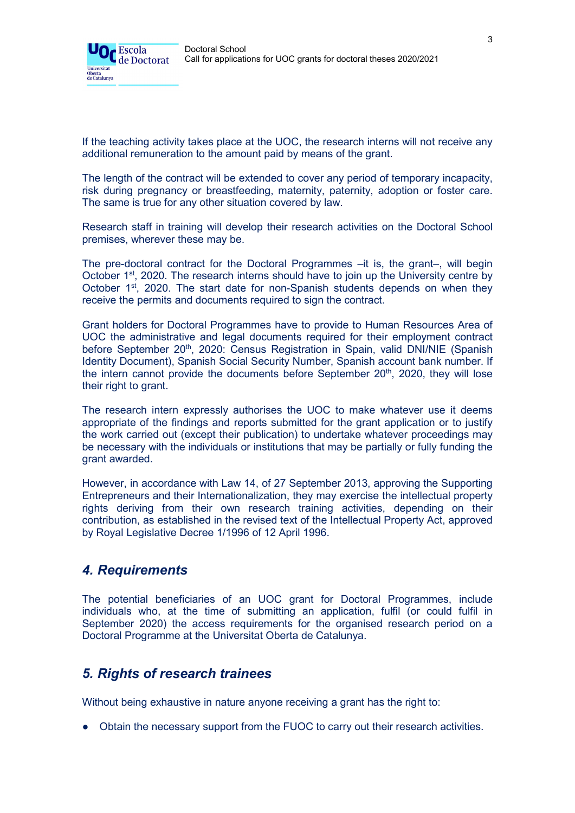

If the teaching activity takes place at the UOC, the research interns will not receive any additional remuneration to the amount paid by means of the grant.

The length of the contract will be extended to cover any period of temporary incapacity, risk during pregnancy or breastfeeding, maternity, paternity, adoption or foster care. The same is true for any other situation covered by law.

Research staff in training will develop their research activities on the Doctoral School premises, wherever these may be.

The pre-doctoral contract for the Doctoral Programmes –it is, the grant–, will begin October 1st, 2020. The research interns should have to join up the University centre by October 1<sup>st</sup>, 2020. The start date for non-Spanish students depends on when they receive the permits and documents required to sign the contract.

Grant holders for Doctoral Programmes have to provide to Human Resources Area of UOC the administrative and legal documents required for their employment contract before September 20<sup>th</sup>, 2020: Census Registration in Spain, valid DNI/NIE (Spanish Identity Document), Spanish Social Security Number, Spanish account bank number. If the intern cannot provide the documents before September 20<sup>th</sup>, 2020, they will lose their right to grant.

The research intern expressly authorises the UOC to make whatever use it deems appropriate of the findings and reports submitted for the grant application or to justify the work carried out (except their publication) to undertake whatever proceedings may be necessary with the individuals or institutions that may be partially or fully funding the grant awarded.

However, in accordance with Law 14, of 27 September 2013, approving the Supporting Entrepreneurs and their Internationalization, they may exercise the intellectual property rights deriving from their own research training activities, depending on their contribution, as established in the revised text of the Intellectual Property Act, approved by Royal Legislative Decree 1/1996 of 12 April 1996.

## *4. Requirements*

The potential beneficiaries of an UOC grant for Doctoral Programmes, include individuals who, at the time of submitting an application, fulfil (or could fulfil in September 2020) the access requirements for the organised research period on a Doctoral Programme at the Universitat Oberta de Catalunya.

## *5. Rights of research trainees*

Without being exhaustive in nature anyone receiving a grant has the right to:

• Obtain the necessary support from the FUOC to carry out their research activities.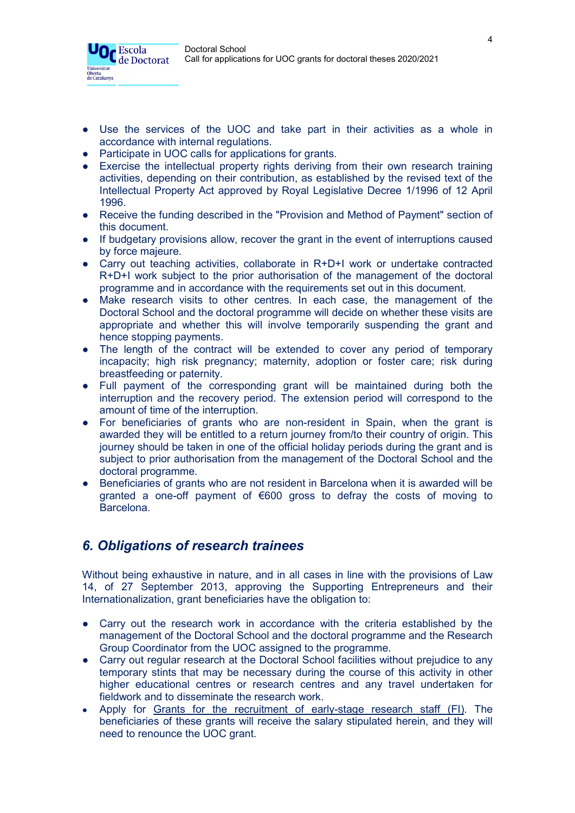

- Use the services of the UOC and take part in their activities as a whole in accordance with internal regulations.
- Participate in UOC calls for applications for grants.
- Exercise the intellectual property rights deriving from their own research training activities, depending on their contribution, as established by the revised text of the Intellectual Property Act approved by Royal Legislative Decree 1/1996 of 12 April 1996.
- Receive the funding described in the "Provision and Method of Payment" section of this document.
- If budgetary provisions allow, recover the grant in the event of interruptions caused by force majeure.
- Carry out teaching activities, collaborate in R+D+I work or undertake contracted R+D+I work subject to the prior authorisation of the management of the doctoral programme and in accordance with the requirements set out in this document.
- Make research visits to other centres. In each case, the management of the Doctoral School and the doctoral programme will decide on whether these visits are appropriate and whether this will involve temporarily suspending the grant and hence stopping payments.
- The length of the contract will be extended to cover any period of temporary incapacity; high risk pregnancy; maternity, adoption or foster care; risk during breastfeeding or paternity.
- Full payment of the corresponding grant will be maintained during both the interruption and the recovery period. The extension period will correspond to the amount of time of the interruption.
- For beneficiaries of grants who are non-resident in Spain, when the grant is awarded they will be entitled to a return journey from/to their country of origin. This journey should be taken in one of the official holiday periods during the grant and is subject to prior authorisation from the management of the Doctoral School and the doctoral programme.
- Beneficiaries of grants who are not resident in Barcelona when it is awarded will be granted a one-off payment of €600 gross to defray the costs of moving to Barcelona.

## *6. Obligations of research trainees*

Without being exhaustive in nature, and in all cases in line with the provisions of Law 14, of 27 September 2013, approving the Supporting Entrepreneurs and their Internationalization, grant beneficiaries have the obligation to:

- Carry out the research work in accordance with the criteria established by the management of the Doctoral School and the doctoral programme and the Research Group Coordinator from the UOC assigned to the programme.
- Carry out regular research at the Doctoral School facilities without prejudice to any temporary stints that may be necessary during the course of this activity in other higher educational centres or research centres and any travel undertaken for fieldwork and to disseminate the research work.
- Apply for [Grants for the recruitment of early-stage research staff \(FI\).](http://agaur.gencat.cat/en/beques-i-ajuts/convocatories-per-temes/Ajuts-per-a-la-formacio-i-contractacio-de-personal-investigador-novell-FI-2018?evolutiuTramit=1) The beneficiaries of these grants will receive the salary stipulated herein, and they will need to renounce the UOC grant.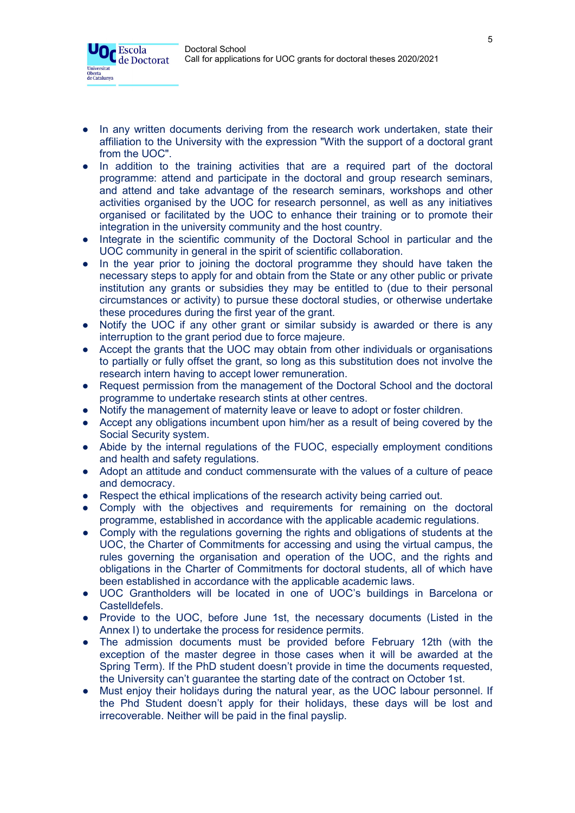Universitat Oberta<br>de Catalunya



- In addition to the training activities that are a required part of the doctoral programme: attend and participate in the doctoral and group research seminars, and attend and take advantage of the research seminars, workshops and other activities organised by the UOC for research personnel, as well as any initiatives organised or facilitated by the UOC to enhance their training or to promote their integration in the university community and the host country.
- Integrate in the scientific community of the Doctoral School in particular and the UOC community in general in the spirit of scientific collaboration.
- In the year prior to joining the doctoral programme they should have taken the necessary steps to apply for and obtain from the State or any other public or private institution any grants or subsidies they may be entitled to (due to their personal circumstances or activity) to pursue these doctoral studies, or otherwise undertake these procedures during the first year of the grant.
- Notify the UOC if any other grant or similar subsidy is awarded or there is any interruption to the grant period due to force majeure.
- Accept the grants that the UOC may obtain from other individuals or organisations to partially or fully offset the grant, so long as this substitution does not involve the research intern having to accept lower remuneration.
- Request permission from the management of the Doctoral School and the doctoral programme to undertake research stints at other centres.
- Notify the management of maternity leave or leave to adopt or foster children.
- Accept any obligations incumbent upon him/her as a result of being covered by the Social Security system.
- Abide by the internal regulations of the FUOC, especially employment conditions and health and safety regulations.
- Adopt an attitude and conduct commensurate with the values of a culture of peace and democracy.
- Respect the ethical implications of the research activity being carried out.
- Comply with the objectives and requirements for remaining on the doctoral programme, established in accordance with the applicable academic regulations.
- Comply with the regulations governing the rights and obligations of students at the UOC, the Charter of Commitments for accessing and using the virtual campus, the rules governing the organisation and operation of the UOC, and the rights and obligations in the Charter of Commitments for doctoral students, all of which have been established in accordance with the applicable academic laws.
- UOC Grantholders will be located in one of UOC's buildings in Barcelona or Castelldefels.
- Provide to the UOC, before June 1st, the necessary documents (Listed in the Annex I) to undertake the process for residence permits.
- The admission documents must be provided before February 12th (with the exception of the master degree in those cases when it will be awarded at the Spring Term). If the PhD student doesn't provide in time the documents requested, the University can't guarantee the starting date of the contract on October 1st.
- Must enjoy their holidays during the natural year, as the UOC labour personnel. If the Phd Student doesn't apply for their holidays, these days will be lost and irrecoverable. Neither will be paid in the final payslip.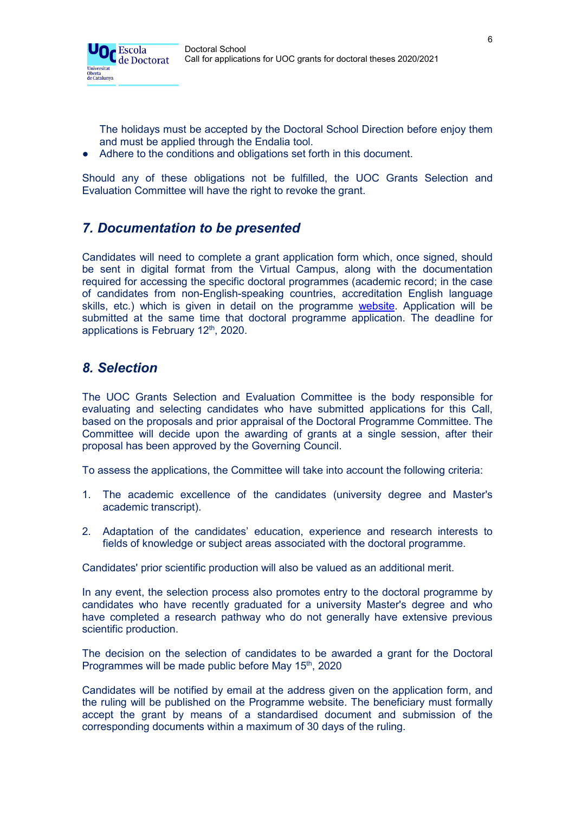

The holidays must be accepted by the Doctoral School Direction before enjoy them and must be applied through the Endalia tool.

Adhere to the conditions and obligations set forth in this document.

Should any of these obligations not be fulfilled, the UOC Grants Selection and Evaluation Committee will have the right to revoke the grant.

## *7. Documentation to be presented*

Candidates will need to complete a grant application form which, once signed, should be sent in digital format from the Virtual Campus, along with the documentation required for accessing the specific doctoral programmes (academic record; in the case of candidates from non-English-speaking countries, accreditation English language skills, etc.) which is given in detail on the programme [website.](https://www.uoc.edu/portal/en/escola-doctorat/index.html) Application will be submitted at the same time that doctoral programme application. The deadline for applications is February 12<sup>th</sup>, 2020.

## *8. Selection*

The UOC Grants Selection and Evaluation Committee is the body responsible for evaluating and selecting candidates who have submitted applications for this Call, based on the proposals and prior appraisal of the Doctoral Programme Committee. The Committee will decide upon the awarding of grants at a single session, after their proposal has been approved by the Governing Council.

To assess the applications, the Committee will take into account the following criteria:

- 1. The academic excellence of the candidates (university degree and Master's academic transcript).
- 2. Adaptation of the candidates' education, experience and research interests to fields of knowledge or subject areas associated with the doctoral programme.

Candidates' prior scientific production will also be valued as an additional merit.

In any event, the selection process also promotes entry to the doctoral programme by candidates who have recently graduated for a university Master's degree and who have completed a research pathway who do not generally have extensive previous scientific production.

The decision on the selection of candidates to be awarded a grant for the Doctoral Programmes will be made public before May 15<sup>th</sup>, 2020

Candidates will be notified by email at the address given on the application form, and the ruling will be published on the Programme website. The beneficiary must formally accept the grant by means of a standardised document and submission of the corresponding documents within a maximum of 30 days of the ruling.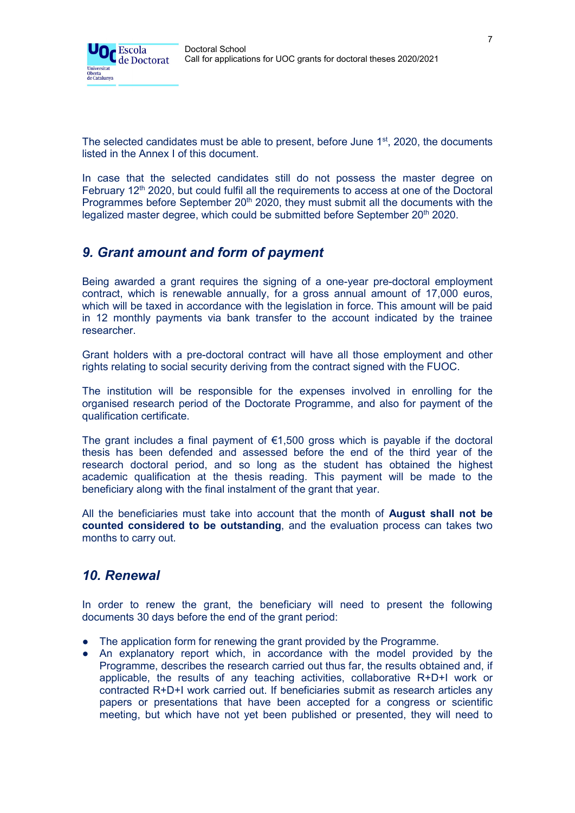

The selected candidates must be able to present, before June  $1<sup>st</sup>$ , 2020, the documents listed in the Annex I of this document.

In case that the selected candidates still do not possess the master degree on February  $12<sup>th</sup>$  2020, but could fulfil all the requirements to access at one of the Doctoral Programmes before September 20<sup>th</sup> 2020, they must submit all the documents with the legalized master degree, which could be submitted before September 20<sup>th</sup> 2020.

## *9. Grant amount and form of payment*

Being awarded a grant requires the signing of a one-year pre-doctoral employment contract, which is renewable annually, for a gross annual amount of 17,000 euros, which will be taxed in accordance with the legislation in force. This amount will be paid in 12 monthly payments via bank transfer to the account indicated by the trainee researcher.

Grant holders with a pre-doctoral contract will have all those employment and other rights relating to social security deriving from the contract signed with the FUOC.

The institution will be responsible for the expenses involved in enrolling for the organised research period of the Doctorate Programme, and also for payment of the qualification certificate.

The grant includes a final payment of  $\epsilon$ 1,500 gross which is payable if the doctoral thesis has been defended and assessed before the end of the third year of the research doctoral period, and so long as the student has obtained the highest academic qualification at the thesis reading. This payment will be made to the beneficiary along with the final instalment of the grant that year.

All the beneficiaries must take into account that the month of **August shall not be counted considered to be outstanding**, and the evaluation process can takes two months to carry out.

## *10. Renewal*

In order to renew the grant, the beneficiary will need to present the following documents 30 days before the end of the grant period:

- The application form for renewing the grant provided by the Programme.
- An explanatory report which, in accordance with the model provided by the Programme, describes the research carried out thus far, the results obtained and, if applicable, the results of any teaching activities, collaborative R+D+I work or contracted R+D+I work carried out. If beneficiaries submit as research articles any papers or presentations that have been accepted for a congress or scientific meeting, but which have not yet been published or presented, they will need to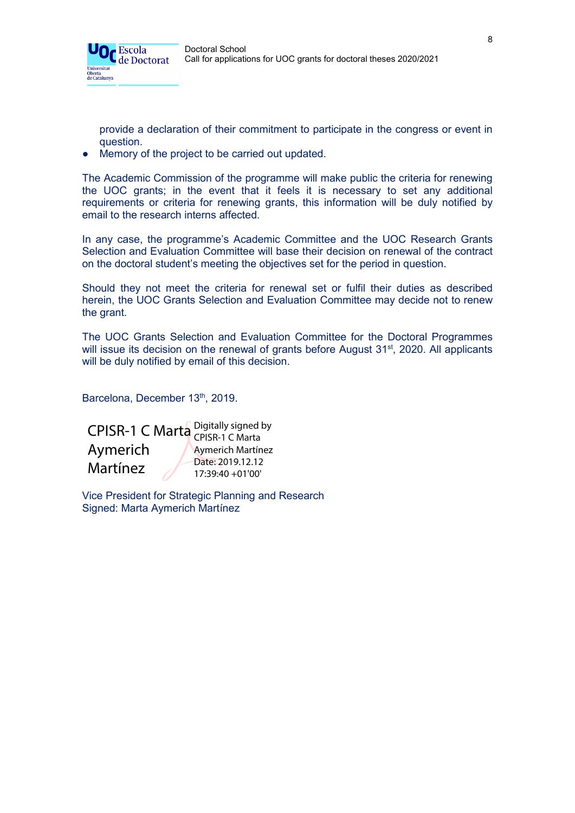

provide a declaration of their commitment to participate in the congress or event in question.

Memory of the project to be carried out updated.

The Academic Commission of the programme will make public the criteria for renewing the UOC grants; in the event that it feels it is necessary to set any additional requirements or criteria for renewing grants, this information will be duly notified by email to the research interns affected.

In any case, the programme's Academic Committee and the UOC Research Grants Selection and Evaluation Committee will base their decision on renewal of the contract on the doctoral student's meeting the objectives set for the period in question.

Should they not meet the criteria for renewal set or fulfil their duties as described herein, the UOC Grants Selection and Evaluation Committee may decide not to renew the grant.

The UOC Grants Selection and Evaluation Committee for the Doctoral Programmes will issue its decision on the renewal of grants before August 31<sup>st</sup>, 2020. All applicants will be duly notified by email of this decision.

Barcelona, December 13th, 2019.

CPISR-1 C Marta Digitally signed by Aymerich Martínez CPISR-1 C Marta Aymerich Martínez Date: 2019.12.12 17:39:40 +01'00'

Vice President for Strategic Planning and Research Signed: Marta Aymerich Martínez